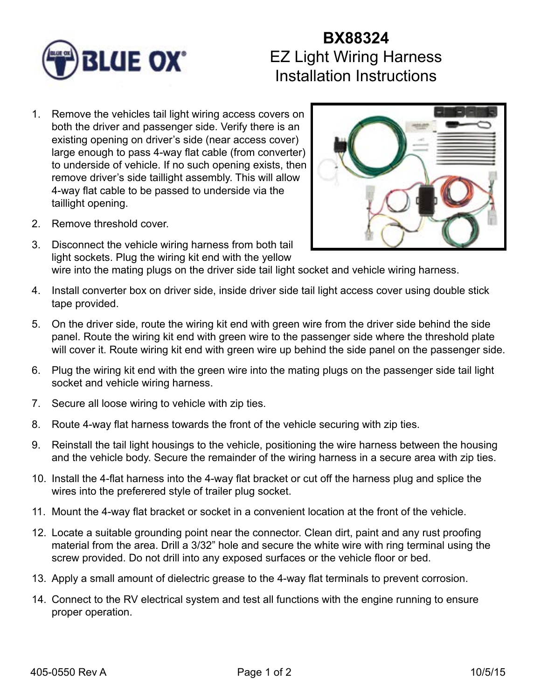

## **BX88324** EZ Light Wiring Harness Installation Instructions

1. Remove the vehicles tail light wiring access covers on both the driver and passenger side. Verify there is an existing opening on driver's side (near access cover) large enough to pass 4-way flat cable (from converter) to underside of vehicle. If no such opening exists, then remove driver's side taillight assembly. This will allow 4-way flat cable to be passed to underside via the taillight opening.



- 2. Remove threshold cover.
- 3. Disconnect the vehicle wiring harness from both tail light sockets. Plug the wiring kit end with the yellow wire into the mating plugs on the driver side tail light socket and vehicle wiring harness.
- 4. Install converter box on driver side, inside driver side tail light access cover using double stick tape provided.
- 5. On the driver side, route the wiring kit end with green wire from the driver side behind the side panel. Route the wiring kit end with green wire to the passenger side where the threshold plate will cover it. Route wiring kit end with green wire up behind the side panel on the passenger side.
- 6. Plug the wiring kit end with the green wire into the mating plugs on the passenger side tail light socket and vehicle wiring harness.
- 7. Secure all loose wiring to vehicle with zip ties.
- 8. Route 4-way flat harness towards the front of the vehicle securing with zip ties.
- 9. Reinstall the tail light housings to the vehicle, positioning the wire harness between the housing and the vehicle body. Secure the remainder of the wiring harness in a secure area with zip ties.
- 10. Install the 4-flat harness into the 4-way flat bracket or cut off the harness plug and splice the wires into the preferered style of trailer plug socket.
- 11. Mount the 4-way flat bracket or socket in a convenient location at the front of the vehicle.
- 12. Locate a suitable grounding point near the connector. Clean dirt, paint and any rust proofing material from the area. Drill a 3/32" hole and secure the white wire with ring terminal using the screw provided. Do not drill into any exposed surfaces or the vehicle floor or bed.
- 13. Apply a small amount of dielectric grease to the 4-way flat terminals to prevent corrosion.
- 14. Connect to the RV electrical system and test all functions with the engine running to ensure proper operation.